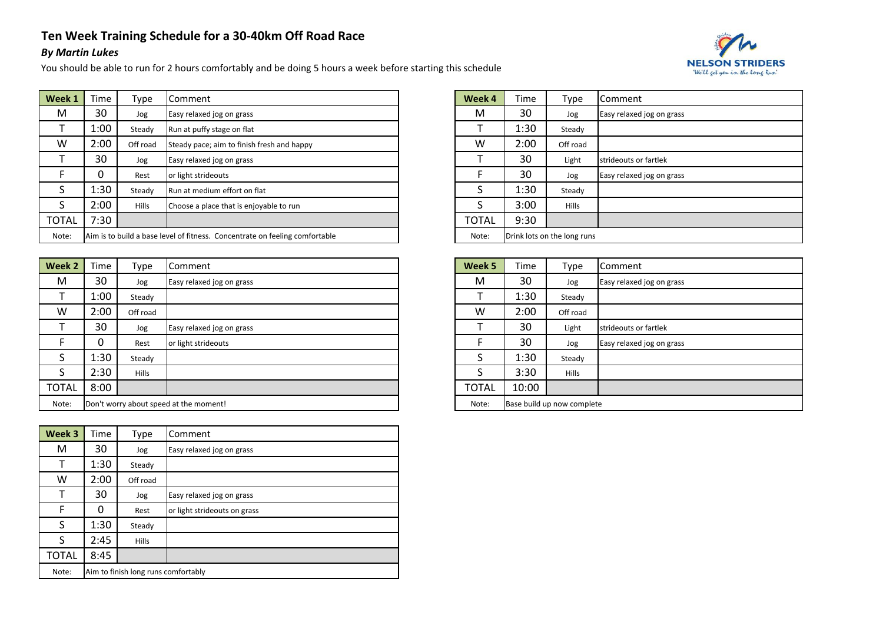## **Ten Week Training Schedule for a 30-40km Off Road Race**

## *By Martin Lukes*

You should be able to run for 2 hours comfortably and be doing 5 hours a week before starting this schedule



| Week 1       | Time | Type         | <b>I</b> Comment                                                            | Week 4       | Time | Type                        | Comment                   |
|--------------|------|--------------|-----------------------------------------------------------------------------|--------------|------|-----------------------------|---------------------------|
| M            | 30   | Jog          | Easy relaxed jog on grass                                                   | M            | 30   | Jog                         | Easy relaxed jog on grass |
|              | 1:00 | Steady       | Run at puffy stage on flat                                                  |              | 1:30 | Steady                      |                           |
| W            | 2:00 | Off road     | Steady pace; aim to finish fresh and happy                                  | w            | 2:00 | Off road                    |                           |
|              | 30   | Jog          | Easy relaxed jog on grass                                                   |              | 30   | Light                       | strideouts or fartlek     |
|              |      | Rest         | or light strideouts                                                         |              | 30   | Jog                         | Easy relaxed jog on grass |
|              | 1:30 | Steady       | <b>Run at medium effort on flat</b>                                         |              | 1:30 | Steady                      |                           |
|              | 2:00 | <b>Hills</b> | Choose a place that is enjoyable to run                                     |              | 3:00 | <b>Hills</b>                |                           |
| <b>TOTAL</b> | 7:30 |              |                                                                             | <b>TOTAL</b> | 9:30 |                             |                           |
| Note:        |      |              | Aim is to build a base level of fitness. Concentrate on feeling comfortable | Note:        |      | Drink lots on the long runs |                           |

| Week 2       | Time                                   | Type         | <b>I</b> Comment          |  | Week 5       | Time  | Type                       | Comment                   |
|--------------|----------------------------------------|--------------|---------------------------|--|--------------|-------|----------------------------|---------------------------|
| M            | 30                                     | Jog          | Easy relaxed jog on grass |  | M            | 30    | Jog                        | Easy relaxed jog on grass |
|              | 1:00                                   | Steady       |                           |  |              | 1:30  | Steady                     |                           |
| W            | 2:00                                   | Off road     |                           |  | W            | 2:00  | Off road                   |                           |
|              | 30                                     | Jog          | Easy relaxed jog on grass |  |              | 30    | Light                      | strideouts or fartlek     |
|              | 0                                      | Rest         | or light strideouts       |  |              | 30    | Jog                        | Easy relaxed jog on grass |
|              | 1:30                                   | Steady       |                           |  |              | 1:30  | Steady                     |                           |
| S            | 2:30                                   | <b>Hills</b> |                           |  |              | 3:30  | <b>Hills</b>               |                           |
| <b>TOTAL</b> | 8:00                                   |              |                           |  | <b>TOTAL</b> | 10:00 |                            |                           |
| Note:        | Don't worry about speed at the moment! |              |                           |  | Note:        |       | Base build up now complete |                           |

| Week 3       | Time                                | Type         | Comment                      |  |  |
|--------------|-------------------------------------|--------------|------------------------------|--|--|
| М            | 30                                  | Jog          | Easy relaxed jog on grass    |  |  |
|              | 1:30                                | Steady       |                              |  |  |
| w            | 2:00                                | Off road     |                              |  |  |
|              | 30                                  | Jog          | Easy relaxed jog on grass    |  |  |
| F            | 0                                   | Rest         | or light strideouts on grass |  |  |
| S            | 1:30                                | Steady       |                              |  |  |
| S            | 2:45                                | <b>Hills</b> |                              |  |  |
| <b>TOTAL</b> | 8:45                                |              |                              |  |  |
| Note:        | Aim to finish long runs comfortably |              |                              |  |  |

| Week 4 | Time                        | Type         | Comment                   |  |  |
|--------|-----------------------------|--------------|---------------------------|--|--|
| M      | 30                          | Jog          | Easy relaxed jog on grass |  |  |
|        | 1:30                        | Steady       |                           |  |  |
| W      | 2:00                        | Off road     |                           |  |  |
|        | 30                          | Light        | strideouts or fartlek     |  |  |
| F      | 30                          | Jog          | Easy relaxed jog on grass |  |  |
| S      | 1:30                        | Steady       |                           |  |  |
| S      | 3:00                        | <b>Hills</b> |                           |  |  |
| TOTAL  | 9:30                        |              |                           |  |  |
| Note:  | Drink lots on the long runs |              |                           |  |  |

| Week 5       | Time                       | Type         | Comment                   |  |  |  |
|--------------|----------------------------|--------------|---------------------------|--|--|--|
| М            | 30                         | Jog          | Easy relaxed jog on grass |  |  |  |
|              | 1:30                       | Steady       |                           |  |  |  |
| w            | 2:00                       | Off road     |                           |  |  |  |
|              | 30                         | Light        | strideouts or fartlek     |  |  |  |
| F            | 30                         | Jog          | Easy relaxed jog on grass |  |  |  |
| S            | 1:30                       | Steady       |                           |  |  |  |
| S            | 3:30                       | <b>Hills</b> |                           |  |  |  |
| <b>TOTAL</b> | 10:00                      |              |                           |  |  |  |
| Note:        | Base build up now complete |              |                           |  |  |  |